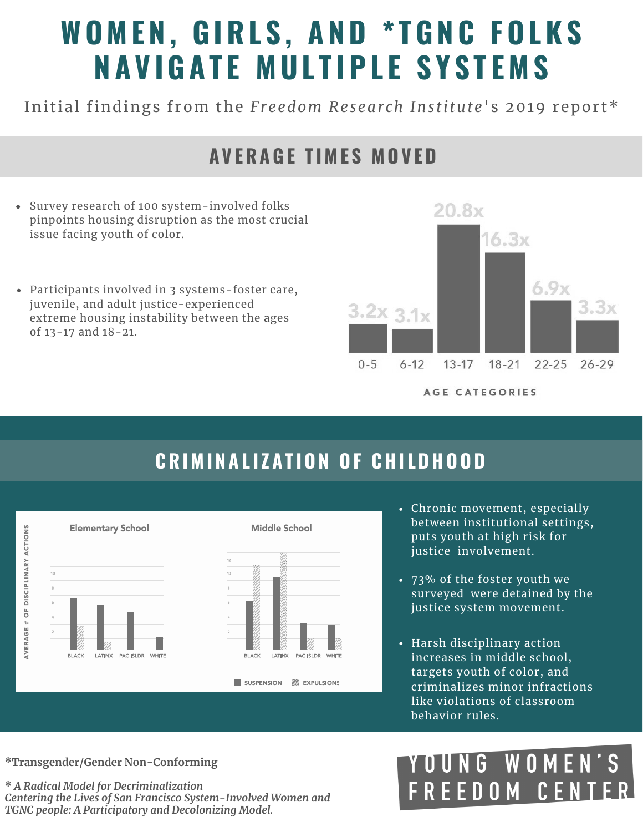# **WO M E N , GIRL S , A ND \* TGN C FOL K S N A V IGA T E M UL T IPL E S Y S T E M S**

Initial findings from the *Freedom Research Institute's* 2019 report\*

### **A V ERAGE T I M E S M OV ED**

- Survey research of 100 system-involved folks pinpoints housing disruption as the most crucial issue facing youth of color.
- Participants involved in 3 systems-foster care, juvenile, and adult justice-experienced extreme housing instability between the ages of 13-17 and 18-21.



# **CRI M I N A L I Z A T ION OF CHI LDHOOD**



- Chronic movement, especially between institutional settings, puts youth at high risk for iustice involvement.
- 73% of the foster youth we surveyed were detained by the justice system movement.
- Harsh disciplinary action increases in middle school, targets youth of color, and criminalizes minor infractions like violations of classroom behavior rules.

**\*Transgender/Gender Non-Conforming**

**\*** *A Radical Model for Decriminalization Centering the Lives of San Francisco System-Involved Women and TGNC people: A Participatory and Decolonizing Model.*

#### NG WOMEN E EDOM CEN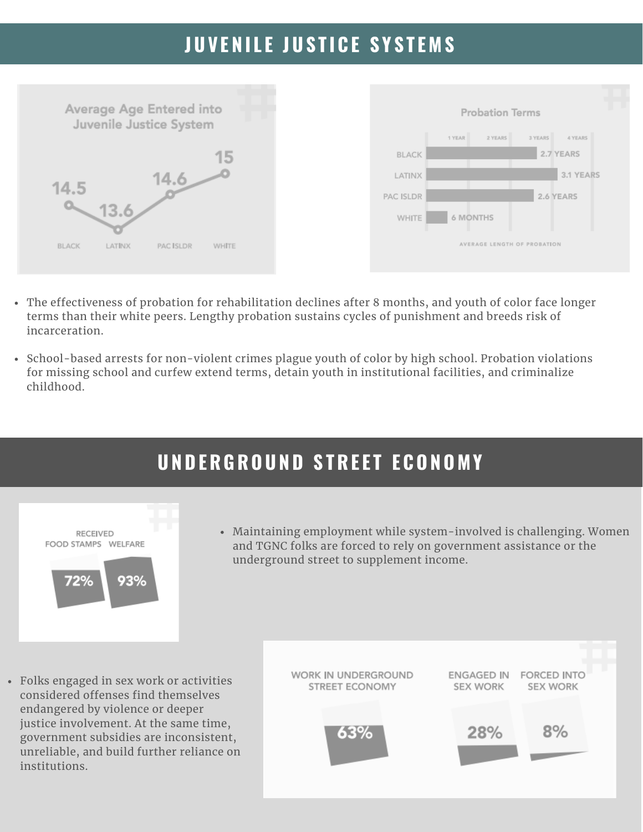# **JUV E N I L E JUS T I C E S Y S T E M S**



- The effectiveness of probation for rehabilitation declines after 8 months, and youth of color face longer terms than their white peers. Lengthy probation sustains cycles of punishment and breeds risk of incarceration.
- School-based arrests for non-violent crimes plague youth of color by high school. Probation violations for missing school and curfew extend terms, detain youth in institutional facilities, and criminalize childhood.

# **UNDERGROUND S TRE E T E CONO M Y**



Maintaining employment while system-involved is challenging. Women and TGNC folks are forced to rely on government assistance or the underground street to supplement income.

Folks engaged in sex work or activities considered offenses find themselves endangered by violence or deeper justice involvement. At the same time, government subsidies are inconsistent, unreliable, and build further reliance on institutions.